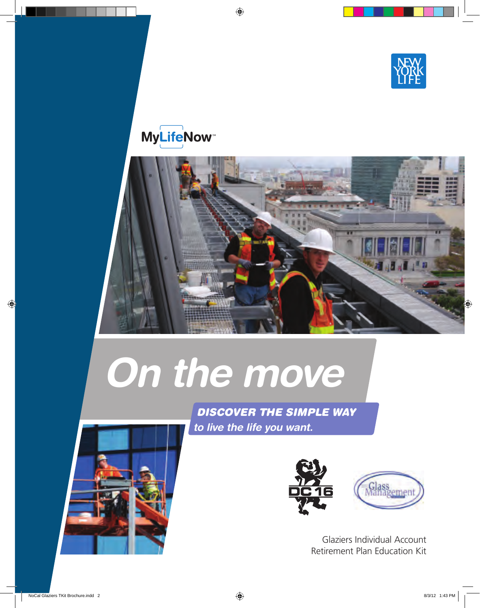

# **MyLifeNow**



# *On the move*





Glaziers Individual Account Retirement Plan Education Kit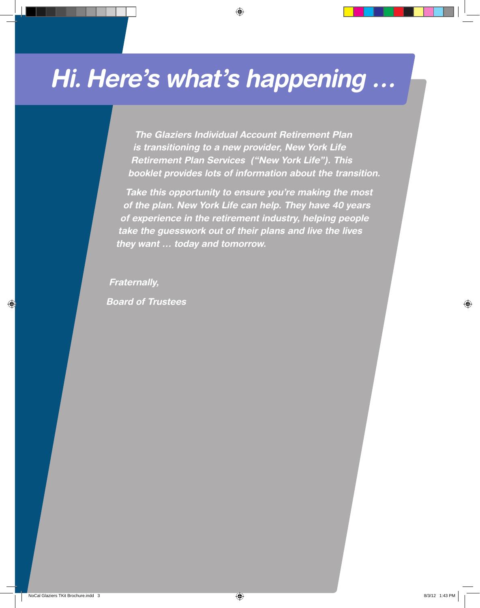# *Hi. Here's what's happening …*

*The Glaziers Individual Account Retirement Plan is transitioning to a new provider, New York Life Retirement Plan Services ("New York Life"). This booklet provides lots of information about the transition.*

*Take this opportunity to ensure you're making the most of the plan. New York Life can help. They have 40 years of experience in the retirement industry, helping people take the guesswork out of their plans and live the lives they want … today and tomorrow.* 

*Fraternally, Board of Trustees*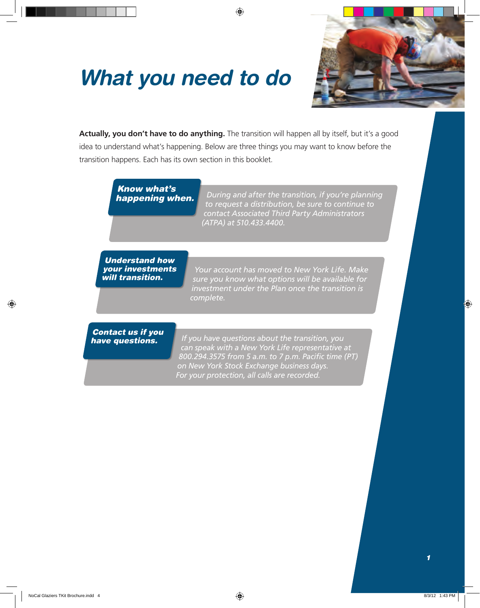# *What you need to do*



**Actually, you don't have to do anything.** The transition will happen all by itself, but it's a good idea to understand what's happening. Below are three things you may want to know before the transition happens. Each has its own section in this booklet.

*Know what's* 

*happening when. During and after the transition, if you're planning to request a distribution, be sure to continue to contact Associated Third Party Administrators (ATPA) at 510.433.4400.*

*Understand how your investments will transition.* 

*Your account has moved to New York Life. Make sure you know what options will be available for investment under the Plan once the transition is complete.*

*Contact us if you* 

*have questions. If you have questions about the transition, you who matter most. can speak with a New York Life representative at 800.294.3575 from 5 a.m. to 7 p.m. Pacific time (PT) on New York Stock Exchange business days. For your protection, all calls are recorded.*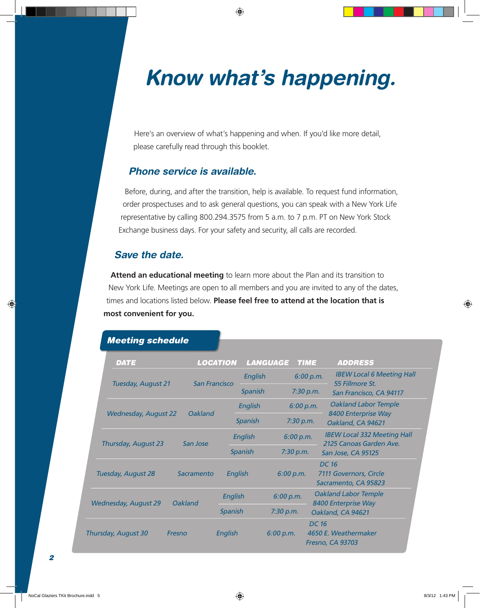# *Know what's happening.*

Here's an overview of what's happening and when. If you'd like more detail, please carefully read through this booklet.

#### *Phone service is available.*

Before, during, and after the transition, help is available. To request fund information, order prospectuses and to ask general questions, you can speak with a New York Life representative by calling 800.294.3575 from 5 a.m. to 7 p.m. PT on New York Stock Exchange business days. For your safety and security, all calls are recorded.

#### *Save the date.*

**Attend an educational meeting** to learn more about the Plan and its transition to New York Life. Meetings are open to all members and you are invited to any of the dates, times and locations listed below. **Please feel free to attend at the location that is most convenient for you.**

|                     | <b>DATE</b>                 |                      | <b>LOCATION</b> |         | LANGUAGE  | <b>TIME</b> | <b>ADDRESS</b>                                                   |
|---------------------|-----------------------------|----------------------|-----------------|---------|-----------|-------------|------------------------------------------------------------------|
|                     | Tuesday, August 21          | <b>San Francisco</b> |                 | English |           |             | <b>IBEW Local 6 Meeting Hall</b><br>6:00 p.m.<br>55 Fillmore St. |
|                     |                             |                      |                 | Spanish |           |             | 7:30 p.m.<br>San Francisco, CA 94117                             |
|                     | <b>Wednesday, August 22</b> |                      | English         |         |           | 6:00 p.m.   | <b>Oakland Labor Temple</b>                                      |
|                     |                             | <b>Oakland</b>       |                 | Spanish |           | 7:30 p.m.   | 8400 Enterprise Way<br>Oakland, CA 94621                         |
|                     | Thursday, August 23         |                      | English         |         | 6:00 p.m. |             | <b>IBEW Local 332 Meeting Hall</b>                               |
|                     |                             | San Jose             | Spanish         |         | 7:30 p.m. |             | 2125 Canoas Garden Ave.<br>San Jose, CA 95125                    |
|                     | Tuesday, August 28          | Sacramento           | English         |         | 6:00 p.m. |             | <b>DC 16</b><br>7111 Governors, Circle<br>Sacramento, CA 95823   |
|                     |                             | <b>Oakland</b>       | English         |         | 6:00 p.m. |             | <b>Oakland Labor Temple</b>                                      |
|                     | <b>Wednesday, August 29</b> |                      | Spanish         |         | 7:30 p.m. |             | 8400 Enterprise Way<br>Oakland, CA 94621                         |
| Thursday, August 30 |                             | Fresno               | English         |         | 6:00 p.m. |             | <b>DC 16</b><br>4650 E. Weathermaker<br><b>Fresno, CA 93703</b>  |

## *Meeting schedule*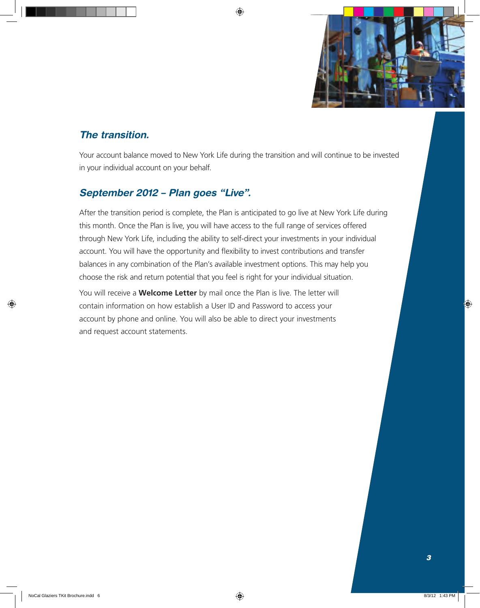

### *The transition.*

Your account balance moved to New York Life during the transition and will continue to be invested in your individual account on your behalf.

### *September 2012 – Plan goes "Live".*

After the transition period is complete, the Plan is anticipated to go live at New York Life during this month. Once the Plan is live, you will have access to the full range of services offered through New York Life, including the ability to self-direct your investments in your individual account. You will have the opportunity and flexibility to invest contributions and transfer balances in any combination of the Plan's available investment options. This may help you choose the risk and return potential that you feel is right for your individual situation.

You will receive a **Welcome Letter** by mail once the Plan is live. The letter will contain information on how establish a User ID and Password to access your account by phone and online. You will also be able to direct your investments and request account statements.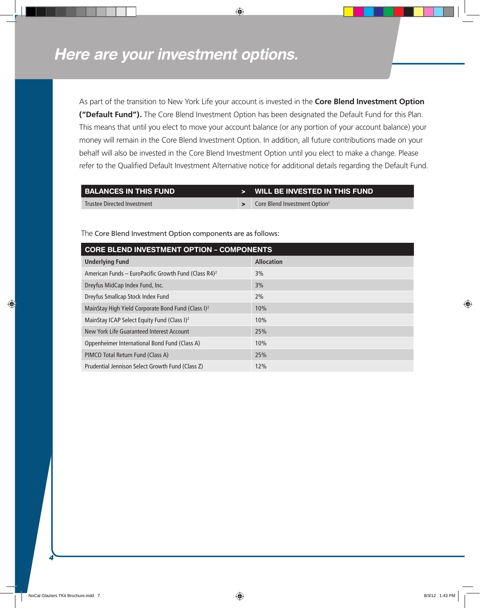i

*4*

As part of the transition to New York Life your account is invested in the **Core Blend Investment Option ("Default Fund").** The Core Blend Investment Option has been designated the Default Fund for this Plan. This means that until you elect to move your account balance (or any portion of your account balance) your money will remain in the Core Blend Investment Option. In addition, all future contributions made on your behalf will also be invested in the Core Blend Investment Option until you elect to make a change. Please refer to the Qualified Default Investment Alternative notice for additional details regarding the Default Fund.

| BALANCES IN THIS FUND       | > WILL BE INVESTED IN THIS FUND           |
|-----------------------------|-------------------------------------------|
| Trustee Directed Investment | Core Blend Investment Option <sup>1</sup> |

**Core Blend Investment Option – Components Underlying Fund Allocation Allocation** American Funds – EuroPacific Growth Fund (Class  $R4$ )<sup>2</sup> 3% Dreyfus MidCap Index Fund, Inc. 3% Dreyfus Smallcap Stock Index Fund 2% MainStay High Yield Corporate Bond Fund (Class I)<sup>2</sup> 10% MainStay ICAP Select Equity Fund (Class I)<sup>2</sup> 10% New York Life Guaranteed Interest Account 25% Oppenheimer International Bond Fund (Class A) 10% PIMCO Total Return Fund (Class A) 25% Prudential Jennison Select Growth Fund (Class Z) 12%

The Core Blend Investment Option components are as follows: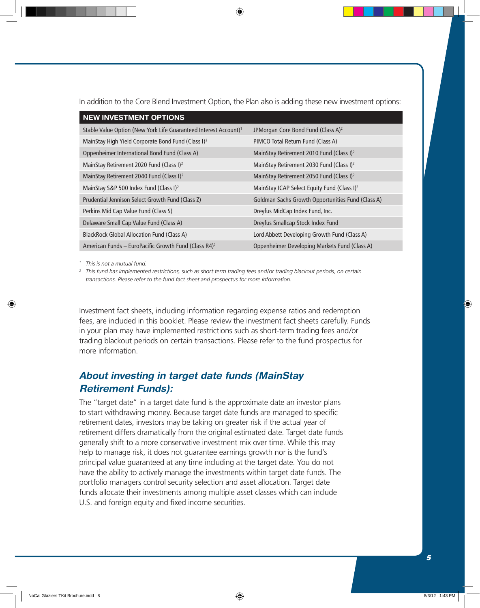In addition to the Core Blend Investment Option, the Plan also is adding these new investment options:

| <b>NEW INVESTMENT OPTIONS</b>                                                |                                                         |  |  |  |  |  |
|------------------------------------------------------------------------------|---------------------------------------------------------|--|--|--|--|--|
| Stable Value Option (New York Life Guaranteed Interest Account) <sup>1</sup> | JPMorgan Core Bond Fund (Class A) <sup>2</sup>          |  |  |  |  |  |
| MainStay High Yield Corporate Bond Fund (Class I) <sup>2</sup>               | PIMCO Total Return Fund (Class A)                       |  |  |  |  |  |
| Oppenheimer International Bond Fund (Class A)                                | MainStay Retirement 2010 Fund (Class I) <sup>2</sup>    |  |  |  |  |  |
| MainStay Retirement 2020 Fund (Class I) <sup>2</sup>                         | MainStay Retirement 2030 Fund (Class I) <sup>2</sup>    |  |  |  |  |  |
| MainStay Retirement 2040 Fund (Class I) <sup>2</sup>                         | MainStay Retirement 2050 Fund (Class I) <sup>2</sup>    |  |  |  |  |  |
| MainStay S&P 500 Index Fund (Class I) <sup>2</sup>                           | MainStay ICAP Select Equity Fund (Class I) <sup>2</sup> |  |  |  |  |  |
| Prudential Jennison Select Growth Fund (Class Z)                             | Goldman Sachs Growth Opportunities Fund (Class A)       |  |  |  |  |  |
| Perkins Mid Cap Value Fund (Class S)                                         | Dreyfus MidCap Index Fund, Inc.                         |  |  |  |  |  |
| Delaware Small Cap Value Fund (Class A)                                      | Dreyfus Smallcap Stock Index Fund                       |  |  |  |  |  |
| <b>BlackRock Global Allocation Fund (Class A)</b>                            | Lord Abbett Developing Growth Fund (Class A)            |  |  |  |  |  |
| American Funds – EuroPacific Growth Fund (Class $R4$ ) <sup>2</sup>          | Oppenheimer Developing Markets Fund (Class A)           |  |  |  |  |  |

*<sup>1</sup> This is not a mutual fund.*

*<sup>2</sup> This fund has implemented restrictions, such as short term trading fees and/or trading blackout periods, on certain transactions. Please refer to the fund fact sheet and prospectus for more information.*

Investment fact sheets, including information regarding expense ratios and redemption fees, are included in this booklet. Please review the investment fact sheets carefully. Funds in your plan may have implemented restrictions such as short-term trading fees and/or trading blackout periods on certain transactions. Please refer to the fund prospectus for more information.

### *About investing in target date funds (MainStay Retirement Funds):*

The "target date" in a target date fund is the approximate date an investor plans to start withdrawing money. Because target date funds are managed to specific retirement dates, investors may be taking on greater risk if the actual year of retirement differs dramatically from the original estimated date. Target date funds generally shift to a more conservative investment mix over time. While this may help to manage risk, it does not guarantee earnings growth nor is the fund's principal value guaranteed at any time including at the target date. You do not have the ability to actively manage the investments within target date funds. The portfolio managers control security selection and asset allocation. Target date funds allocate their investments among multiple asset classes which can include U.S. and foreign equity and fixed income securities.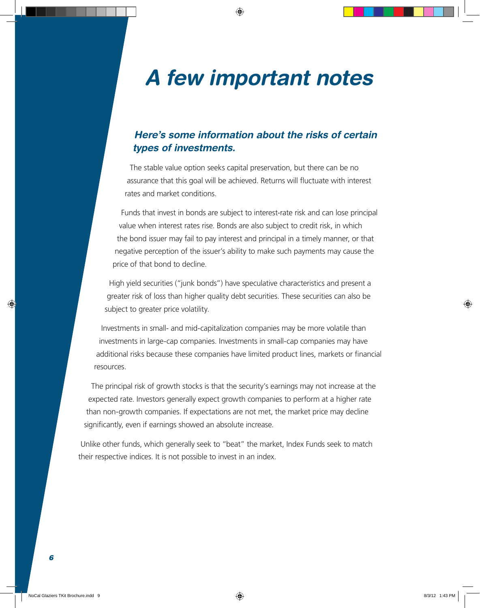# *A few important notes*

### *Here's some information about the risks of certain types of investments.*

The stable value option seeks capital preservation, but there can be no assurance that this goal will be achieved. Returns will fluctuate with interest rates and market conditions.

Funds that invest in bonds are subject to interest-rate risk and can lose principal value when interest rates rise. Bonds are also subject to credit risk, in which the bond issuer may fail to pay interest and principal in a timely manner, or that negative perception of the issuer's ability to make such payments may cause the price of that bond to decline.

High yield securities ("junk bonds") have speculative characteristics and present a greater risk of loss than higher quality debt securities. These securities can also be subject to greater price volatility.

Investments in small- and mid-capitalization companies may be more volatile than investments in large-cap companies. Investments in small-cap companies may have additional risks because these companies have limited product lines, markets or financial resources.

The principal risk of growth stocks is that the security's earnings may not increase at the expected rate. Investors generally expect growth companies to perform at a higher rate than non-growth companies. If expectations are not met, the market price may decline significantly, even if earnings showed an absolute increase.

Unlike other funds, which generally seek to "beat" the market, Index Funds seek to match their respective indices. It is not possible to invest in an index.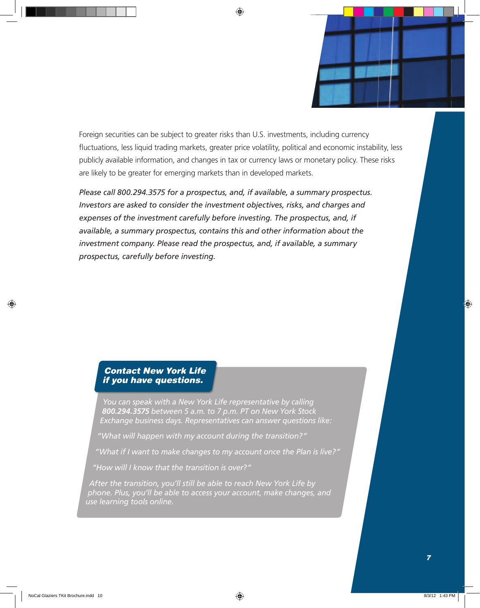Foreign securities can be subject to greater risks than U.S. investments, including currency fluctuations, less liquid trading markets, greater price volatility, political and economic instability, less publicly available information, and changes in tax or currency laws or monetary policy. These risks are likely to be greater for emerging markets than in developed markets.

*Please call 800.294.3575 for a prospectus, and, if available, a summary prospectus. Investors are asked to consider the investment objectives, risks, and charges and expenses of the investment carefully before investing. The prospectus, and, if available, a summary prospectus, contains this and other information about the investment company. Please read the prospectus, and, if available, a summary prospectus, carefully before investing.*

#### *Contact New York Life if you have questions.*

*You can speak with a New York Life representative by calling 800.294.3575 between 5 a.m. to 7 p.m. PT on New York Stock Exchange business days. Representatives can answer questions like:*

*"What will happen with my account during the transition?"*

*"What if I want to make changes to my account once the Plan is live?"*

*"How will I know that the transition is over?"*

*After the transition, you'll still be able to reach New York Life by phone. Plus, you'll be able to access your account, make changes, and use learning tools online.*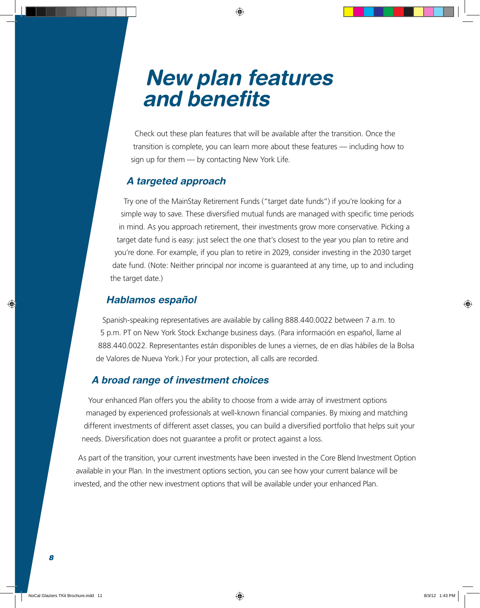# *New plan features and benefits*

Check out these plan features that will be available after the transition. Once the transition is complete, you can learn more about these features — including how to sign up for them — by contacting New York Life.

#### *A targeted approach*

Try one of the MainStay Retirement Funds ("target date funds") if you're looking for a simple way to save. These diversified mutual funds are managed with specific time periods in mind. As you approach retirement, their investments grow more conservative. Picking a target date fund is easy: just select the one that's closest to the year you plan to retire and you're done. For example, if you plan to retire in 2029, consider investing in the 2030 target date fund. (Note: Neither principal nor income is guaranteed at any time, up to and including the target date.)

#### *Hablamos español*

Spanish-speaking representatives are available by calling 888.440.0022 between 7 a.m. to 5 p.m. PT on New York Stock Exchange business days. (Para información en español, llame al 888.440.0022. Representantes están disponibles de lunes a viernes, de en días hábiles de la Bolsa de Valores de Nueva York.) For your protection, all calls are recorded.

#### *A broad range of investment choices*

Your enhanced Plan offers you the ability to choose from a wide array of investment options managed by experienced professionals at well-known financial companies. By mixing and matching different investments of different asset classes, you can build a diversified portfolio that helps suit your needs. Diversification does not guarantee a profit or protect against a loss.

As part of the transition, your current investments have been invested in the Core Blend Investment Option available in your Plan. In the investment options section, you can see how your current balance will be invested, and the other new investment options that will be available under your enhanced Plan.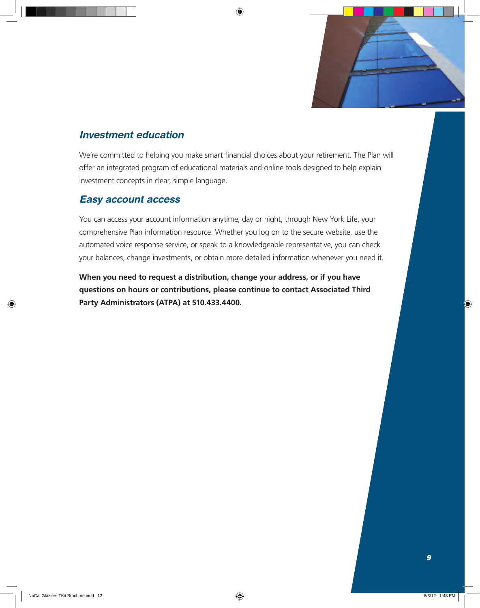

### *Investment education*

We're committed to helping you make smart financial choices about your retirement. The Plan will offer an integrated program of educational materials and online tools designed to help explain investment concepts in clear, simple language.

### *Easy account access*

You can access your account information anytime, day or night, through New York Life, your comprehensive Plan information resource. Whether you log on to the secure website, use the automated voice response service, or speak to a knowledgeable representative, you can check your balances, change investments, or obtain more detailed information whenever you need it.

**When you need to request a distribution, change your address, or if you have questions on hours or contributions, please continue to contact Associated Third Party Administrators (ATPA) at 510.433.4400.**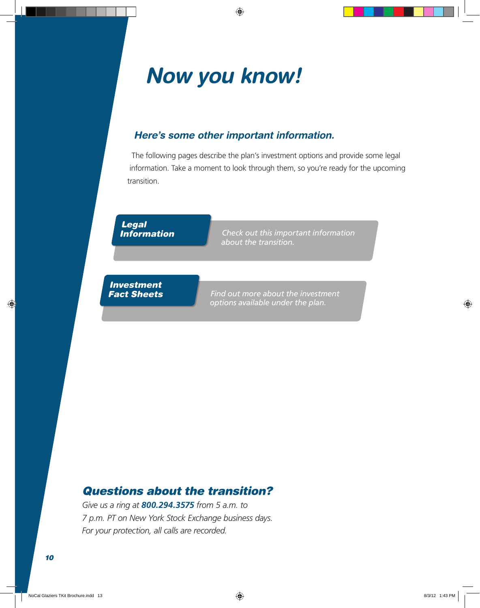# *Now you know!*

### *Here's some other important information.*

The following pages describe the plan's investment options and provide some legal information. Take a moment to look through them, so you're ready for the upcoming transition.

#### *Legal Information*

*Check out this important information about the transition.* 

#### *Investment Fact Sheets*

*Find out more about the investment options available under the plan.*

# *Questions about the transition?*

*Give us a ring at 800.294.3575 from 5 a.m. to 7 p.m. PT on New York Stock Exchange business days. For your protection, all calls are recorded.*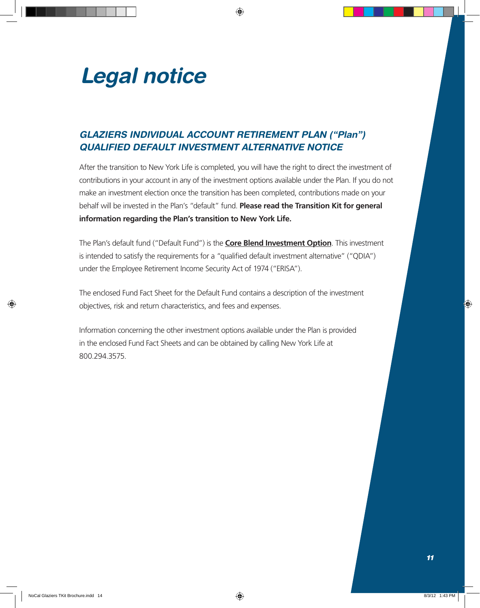

### *GLAZIERS INDIVIDUAL ACCOUNT RETIREMENT PLAN ("Plan") QUALIFIED DEFAULT INVESTMENT ALTERNATIVE NOTICE*

After the transition to New York Life is completed, you will have the right to direct the investment of contributions in your account in any of the investment options available under the Plan. If you do not make an investment election once the transition has been completed, contributions made on your behalf will be invested in the Plan's "default" fund. **Please read the Transition Kit for general information regarding the Plan's transition to New York Life.**

The Plan's default fund ("Default Fund") is the **Core Blend Investment Option**. This investment is intended to satisfy the requirements for a "qualified default investment alternative" ("QDIA") under the Employee Retirement Income Security Act of 1974 ("ERISA").

The enclosed Fund Fact Sheet for the Default Fund contains a description of the investment objectives, risk and return characteristics, and fees and expenses.

Information concerning the other investment options available under the Plan is provided in the enclosed Fund Fact Sheets and can be obtained by calling New York Life at 800.294.3575.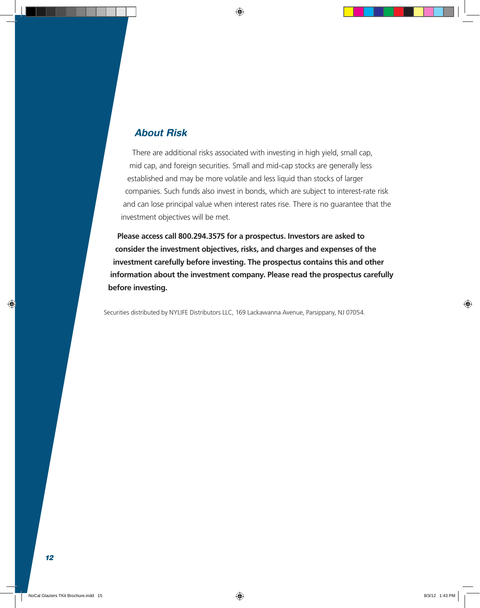#### *About Risk*

There are additional risks associated with investing in high yield, small cap, mid cap, and foreign securities. Small and mid-cap stocks are generally less established and may be more volatile and less liquid than stocks of larger companies. Such funds also invest in bonds, which are subject to interest-rate risk and can lose principal value when interest rates rise. There is no guarantee that the investment objectives will be met.

**Please access call 800.294.3575 for a prospectus. Investors are asked to consider the investment objectives, risks, and charges and expenses of the investment carefully before investing. The prospectus contains this and other information about the investment company. Please read the prospectus carefully before investing.**

Securities distributed by NYLIFE Distributors LLC, 169 Lackawanna Avenue, Parsippany, NJ 07054.